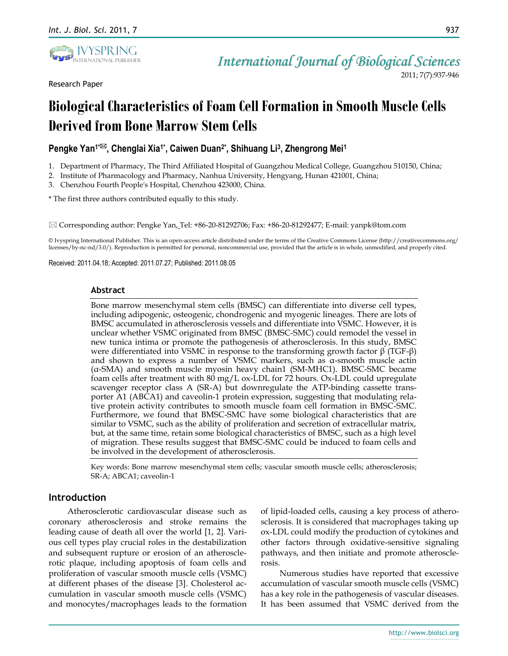

Research Paper

*International Journal of Biological Sciences* 2011; 7(7):937-946

# **Biological Characteristics of Foam Cell Formation in Smooth Muscle Cells Derived from Bone Marrow Stem Cells**

## **Pengke Yan1\*, Chenglai Xia1\* , Caiwen Duan2\* , Shihuang Li<sup>3</sup> , Zhengrong Mei<sup>1</sup>**

- 1. Department of Pharmacy, The Third Affiliated Hospital of Guangzhou Medical College, Guangzhou 510150, China;
- 2. Institute of Pharmacology and Pharmacy, Nanhua University, Hengyang, Hunan 421001, China;
- 3. Chenzhou Fourth People's Hospital, Chenzhou 423000, China.

\* The first three authors contributed equally to this study.

 $\boxtimes$  Corresponding author: Pengke Yan, Tel: +86-20-81292706; Fax: +86-20-81292477; E-mail: yanpk@tom.com

© Ivyspring International Publisher. This is an open-access article distributed under the terms of the Creative Commons License (http://creativecommons.org/ licenses/by-nc-nd/3.0/). Reproduction is permitted for personal, noncommercial use, provided that the article is in whole, unmodified, and properly cited.

Received: 2011.04.18; Accepted: 2011.07.27; Published: 2011.08.05

#### **Abstract**

Bone marrow mesenchymal stem cells (BMSC) can differentiate into diverse cell types, including adipogenic, osteogenic, chondrogenic and myogenic lineages. There are lots of BMSC accumulated in atherosclerosis vessels and differentiate into VSMC. However, it is unclear whether VSMC originated from BMSC (BMSC-SMC) could remodel the vessel in new tunica intima or promote the pathogenesis of atherosclerosis. In this study, BMSC were differentiated into VSMC in response to the transforming growth factor β (TGF-β) and shown to express a number of VSMC markers, such as α-smooth muscle actin (α-SMA) and smooth muscle myosin heavy chain1 (SM-MHC1). BMSC-SMC became foam cells after treatment with 80 mg/L ox-LDL for 72 hours. Ox-LDL could upregulate scavenger receptor class A (SR-A) but downregulate the ATP-binding cassette transporter A1 (ABCA1) and caveolin-1 protein expression, suggesting that modulating relative protein activity contributes to smooth muscle foam cell formation in BMSC-SMC. Furthermore, we found that BMSC-SMC have some biological characteristics that are similar to VSMC, such as the ability of proliferation and secretion of extracellular matrix, but, at the same time, retain some biological characteristics of BMSC, such as a high level of migration. These results suggest that BMSC-SMC could be induced to foam cells and be involved in the development of atherosclerosis.

Key words: Bone marrow mesenchymal stem cells; vascular smooth muscle cells; atherosclerosis; SR-A; ABCA1; caveolin-1

## **Introduction**

Atherosclerotic cardiovascular disease such as coronary atherosclerosis and stroke remains the leading cause of death all over the world [1, 2]. Various cell types play crucial roles in the destabilization and subsequent rupture or erosion of an atherosclerotic plaque, including apoptosis of foam cells and proliferation of vascular smooth muscle cells (VSMC) at different phases of the disease [3]. Cholesterol accumulation in vascular smooth muscle cells (VSMC) and monocytes/macrophages leads to the formation

of lipid-loaded cells, causing a key process of atherosclerosis. It is considered that macrophages taking up ox-LDL could modify the production of cytokines and other factors through oxidative-sensitive signaling pathways, and then initiate and promote atherosclerosis.

Numerous studies have reported that excessive accumulation of vascular smooth muscle cells (VSMC) has a key role in the pathogenesis of vascular diseases. It has been assumed that VSMC derived from the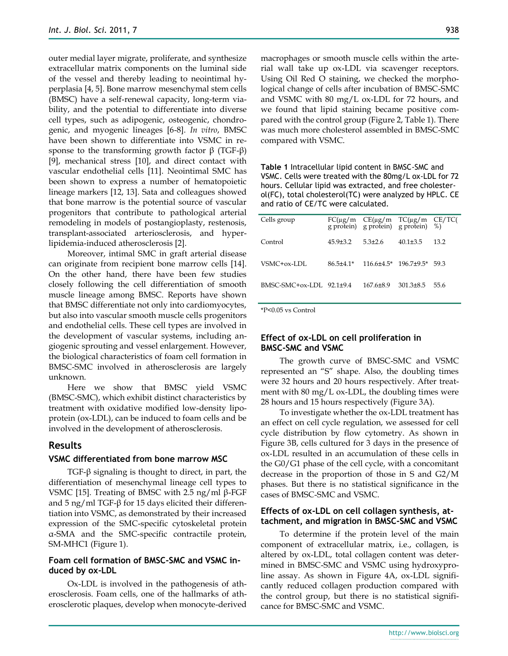outer medial layer migrate, proliferate, and synthesize extracellular matrix components on the luminal side of the vessel and thereby leading to neointimal hyperplasia [4, 5]. Bone marrow mesenchymal stem cells (BMSC) have a self-renewal capacity, long-term viability, and the potential to differentiate into diverse cell types, such as adipogenic, osteogenic, chondrogenic, and myogenic lineages [6-8]. *In vitro*, BMSC have been shown to differentiate into VSMC in response to the transforming growth factor  $β$  (TGF- $β$ ) [9], mechanical stress [10], and direct contact with vascular endothelial cells [11]. Neointimal SMC has been shown to express a number of hematopoietic lineage markers [12, 13]. Sata and colleagues showed that bone marrow is the potential source of vascular progenitors that contribute to pathological arterial remodeling in models of postangioplasty, restenosis, transplant-associated arteriosclerosis, and hyperlipidemia-induced atherosclerosis [2].

Moreover, intimal SMC in graft arterial disease can originate from recipient bone marrow cells [14]. On the other hand, there have been few studies closely following the cell differentiation of smooth muscle lineage among BMSC. Reports have shown that BMSC differentiate not only into cardiomyocytes, but also into vascular smooth muscle cells progenitors and endothelial cells. These cell types are involved in the development of vascular systems, including angiogenic sprouting and vessel enlargement. However, the biological characteristics of foam cell formation in BMSC-SMC involved in atherosclerosis are largely unknown.

Here we show that BMSC yield VSMC (BMSC-SMC), which exhibit distinct characteristics by treatment with oxidative modified low-density lipoprotein (ox-LDL), can be induced to foam cells and be involved in the development of atherosclerosis.

## **Results**

#### **VSMC differentiated from bone marrow MSC**

TGF-β signaling is thought to direct, in part, the differentiation of mesenchymal lineage cell types to VSMC [15]. Treating of BMSC with 2.5 ng/ml β-FGF and 5 ng/ml TGF-β for 15 days elicited their differentiation into VSMC, as demonstrated by their increased expression of the SMC-specific cytoskeletal protein α-SMA and the SMC-specific contractile protein, SM-MHC1 (Figure 1).

## **Foam cell formation of BMSC-SMC and VSMC induced by ox-LDL**

Ox-LDL is involved in the pathogenesis of atherosclerosis. Foam cells, one of the hallmarks of atherosclerotic plaques, develop when monocyte-derived macrophages or smooth muscle cells within the arterial wall take up ox-LDL via scavenger receptors. Using Oil Red O staining, we checked the morphological change of cells after incubation of BMSC-SMC and VSMC with 80 mg/L ox-LDL for 72 hours, and we found that lipid staining became positive compared with the control group (Figure 2, Table 1). There was much more cholesterol assembled in BMSC-SMC compared with VSMC.

**Table 1** Intracellular lipid content in BMSC-SMC and VSMC. Cells were treated with the 80mg/L ox-LDL for 72 hours. Cellular lipid was extracted, and free cholesterol(FC), total cholesterol(TC) were analyzed by HPLC. CE and ratio of CE/TC were calculated.

| Cells group              |            | $FC(\mu g/m$ $CE(\mu g/m$ $TC(\mu g/m$ $CE/TC$<br>g protein) g protein) g protein) %) |            |      |
|--------------------------|------------|---------------------------------------------------------------------------------------|------------|------|
| Control                  | $459 + 32$ | $53+26$                                                                               | $401 + 35$ | 13.2 |
| VSMC+0x-LDL              |            | $86.5\pm4.1*$ 116.6 $\pm4.5*$ 196.7 $\pm9.5*$ 59.3                                    |            |      |
| BMSC-SMC+0x-LDL 92 1+9 4 |            | $1676 + 89$                                                                           | 301 3+8.5  | 55.6 |

\*P<0.05 vs Control

## **Effect of ox-LDL on cell proliferation in BMSC-SMC and VSMC**

The growth curve of BMSC-SMC and VSMC represented an "S" shape. Also, the doubling times were 32 hours and 20 hours respectively. After treatment with 80 mg/L ox-LDL, the doubling times were 28 hours and 15 hours respectively (Figure 3A).

To investigate whether the ox-LDL treatment has an effect on cell cycle regulation, we assessed for cell cycle distribution by flow cytometry. As shown in Figure 3B, cells cultured for 3 days in the presence of ox-LDL resulted in an accumulation of these cells in the G0/G1 phase of the cell cycle, with a concomitant decrease in the proportion of those in S and G2/M phases. But there is no statistical significance in the cases of BMSC-SMC and VSMC.

## **Effects of ox-LDL on cell collagen synthesis, attachment, and migration in BMSC-SMC and VSMC**

To determine if the protein level of the main component of extracellular matrix, i.e., collagen, is altered by ox-LDL, total collagen content was determined in BMSC-SMC and VSMC using hydroxyproline assay. As shown in Figure 4A, ox-LDL significantly reduced collagen production compared with the control group, but there is no statistical significance for BMSC-SMC and VSMC.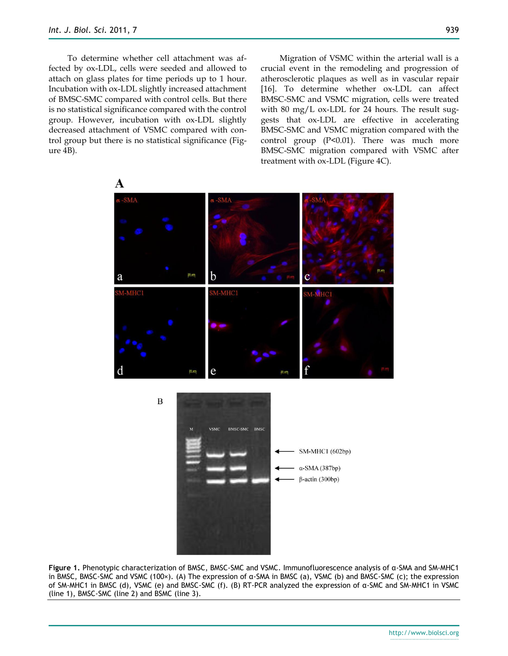To determine whether cell attachment was affected by ox-LDL, cells were seeded and allowed to attach on glass plates for time periods up to 1 hour. Incubation with ox-LDL slightly increased attachment of BMSC-SMC compared with control cells. But there is no statistical significance compared with the control group. However, incubation with ox-LDL slightly decreased attachment of VSMC compared with control group but there is no statistical significance (Figure 4B).

Migration of VSMC within the arterial wall is a crucial event in the remodeling and progression of atherosclerotic plaques as well as in vascular repair [16]. To determine whether ox-LDL can affect BMSC-SMC and VSMC migration, cells were treated with 80 mg/L ox-LDL for 24 hours. The result suggests that ox-LDL are effective in accelerating BMSC-SMC and VSMC migration compared with the control group (P<0.01). There was much more BMSC-SMC migration compared with VSMC after treatment with ox-LDL (Figure 4C).



**Figure 1.** Phenotypic characterization of BMSC, BMSC-SMC and VSMC. Immunofluorescence analysis of α-SMA and SM-MHC1 in BMSC, BMSC-SMC and VSMC (100×). (A) The expression of  $\alpha$ -SMA in BMSC (a), VSMC (b) and BMSC-SMC (c); the expression of SM-MHC1 in BMSC (d), VSMC (e) and BMSC-SMC (f). (B) RT-PCR analyzed the expression of α-SMC and SM-MHC1 in VSMC (line 1), BMSC-SMC (line 2) and BSMC (line 3).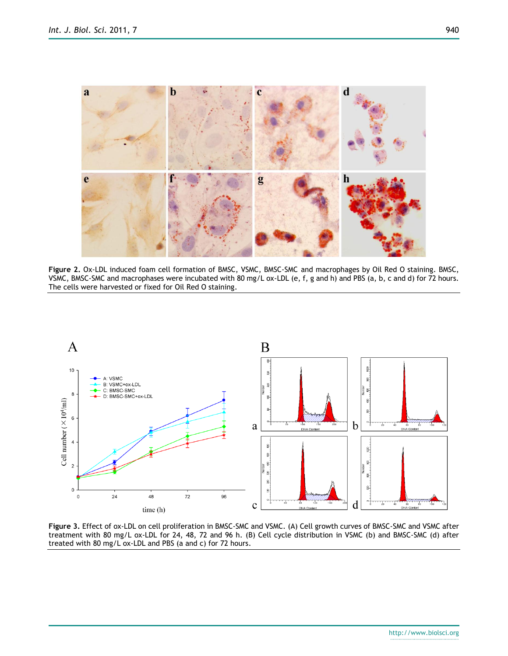

**Figure 2.** Ox-LDL induced foam cell formation of BMSC, VSMC, BMSC-SMC and macrophages by Oil Red O staining. BMSC, VSMC, BMSC-SMC and macrophases were incubated with 80 mg/L ox-LDL (e, f, g and h) and PBS (a, b, c and d) for 72 hours. The cells were harvested or fixed for Oil Red O staining.



**Figure 3.** Effect of ox-LDL on cell proliferation in BMSC-SMC and VSMC. (A) Cell growth curves of BMSC-SMC and VSMC after treatment with 80 mg/L ox-LDL for 24, 48, 72 and 96 h. (B) Cell cycle distribution in VSMC (b) and BMSC-SMC (d) after treated with 80 mg/L ox-LDL and PBS (a and c) for 72 hours.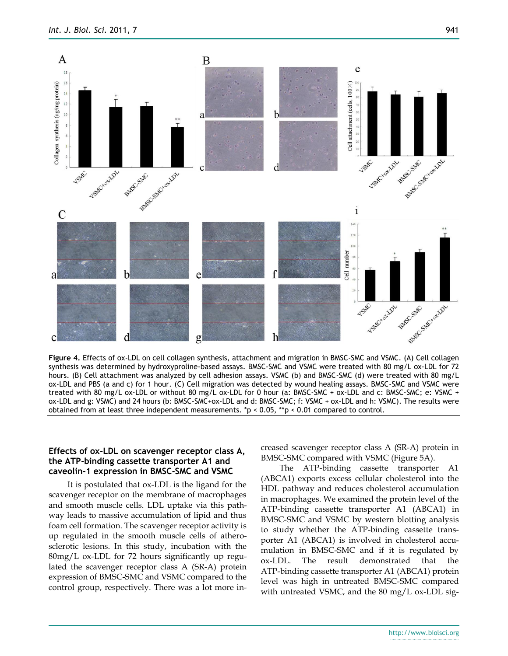

**Figure 4.** Effects of ox-LDL on cell collagen synthesis, attachment and migration in BMSC-SMC and VSMC. (A) Cell collagen synthesis was determined by hydroxyproline-based assays. BMSC-SMC and VSMC were treated with 80 mg/L ox-LDL for 72 hours. (B) Cell attachment was analyzed by cell adhesion assays. VSMC (b) and BMSC-SMC (d) were treated with 80 mg/L ox-LDL and PBS (a and c) for 1 hour. (C) Cell migration was detected by wound healing assays. BMSC-SMC and VSMC were treated with 80 mg/L ox-LDL or without 80 mg/L ox-LDL for 0 hour (a: BMSC-SMC + ox-LDL and c: BMSC-SMC; e: VSMC + ox-LDL and g: VSMC) and 24 hours (b: BMSC-SMC+ox-LDL and d: BMSC-SMC; f: VSMC + ox-LDL and h: VSMC). The results were obtained from at least three independent measurements. \*p < 0.05, \*\*p < 0.01 compared to control.

#### **Effects of ox-LDL on scavenger receptor class A, the ATP-binding cassette transporter A1 and caveolin-1 expression in BMSC-SMC and VSMC**

It is postulated that ox-LDL is the ligand for the scavenger receptor on the membrane of macrophages and smooth muscle cells. LDL uptake via this pathway leads to massive accumulation of lipid and thus foam cell formation. The scavenger receptor activity is up regulated in the smooth muscle cells of atherosclerotic lesions. In this study, incubation with the 80mg/L ox-LDL for 72 hours significantly up regulated the scavenger receptor class A (SR-A) protein expression of BMSC-SMC and VSMC compared to the control group, respectively. There was a lot more increased scavenger receptor class A (SR-A) protein in BMSC-SMC compared with VSMC (Figure 5A).

The ATP-binding cassette transporter A1 (ABCA1) exports excess cellular cholesterol into the HDL pathway and reduces cholesterol accumulation in macrophages. We examined the protein level of the ATP-binding cassette transporter A1 (ABCA1) in BMSC-SMC and VSMC by western blotting analysis to study whether the ATP-binding cassette transporter A1 (ABCA1) is involved in cholesterol accumulation in BMSC-SMC and if it is regulated by ox-LDL. The result demonstrated that the ATP-binding cassette transporter A1 (ABCA1) protein level was high in untreated BMSC-SMC compared with untreated VSMC, and the 80 mg/L ox-LDL sig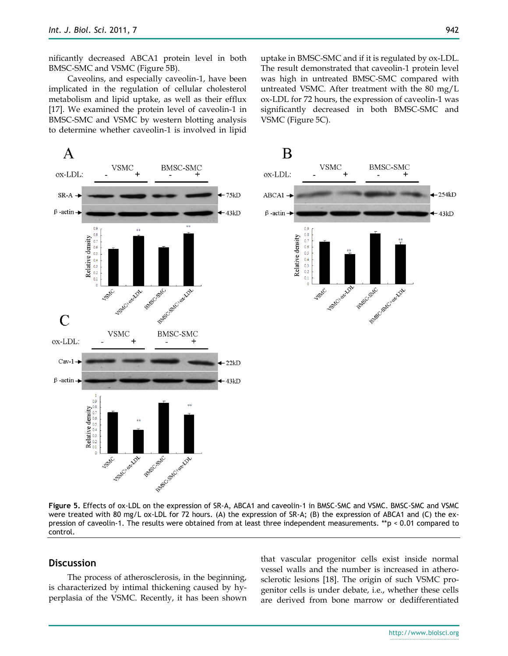nificantly decreased ABCA1 protein level in both BMSC-SMC and VSMC (Figure 5B).

Caveolins, and especially caveolin-1, have been implicated in the regulation of cellular cholesterol metabolism and lipid uptake, as well as their efflux [17]. We examined the protein level of caveolin-1 in BMSC-SMC and VSMC by western blotting analysis to determine whether caveolin-1 is involved in lipid uptake in BMSC-SMC and if it is regulated by ox-LDL. The result demonstrated that caveolin-1 protein level was high in untreated BMSC-SMC compared with untreated VSMC. After treatment with the 80 mg/L ox-LDL for 72 hours, the expression of caveolin-1 was significantly decreased in both BMSC-SMC and VSMC (Figure 5C).



**Figure 5.** Effects of ox-LDL on the expression of SR-A, ABCA1 and caveolin-1 in BMSC-SMC and VSMC. BMSC-SMC and VSMC were treated with 80 mg/L ox-LDL for 72 hours. (A) the expression of SR-A; (B) the expression of ABCA1 and (C) the expression of caveolin-1. The results were obtained from at least three independent measurements. \*\*p < 0.01 compared to control.

## **Discussion**

The process of atherosclerosis, in the beginning, is characterized by intimal thickening caused by hyperplasia of the VSMC. Recently, it has been shown that vascular progenitor cells exist inside normal vessel walls and the number is increased in atherosclerotic lesions [18]. The origin of such VSMC progenitor cells is under debate, i.e., whether these cells are derived from bone marrow or dedifferentiated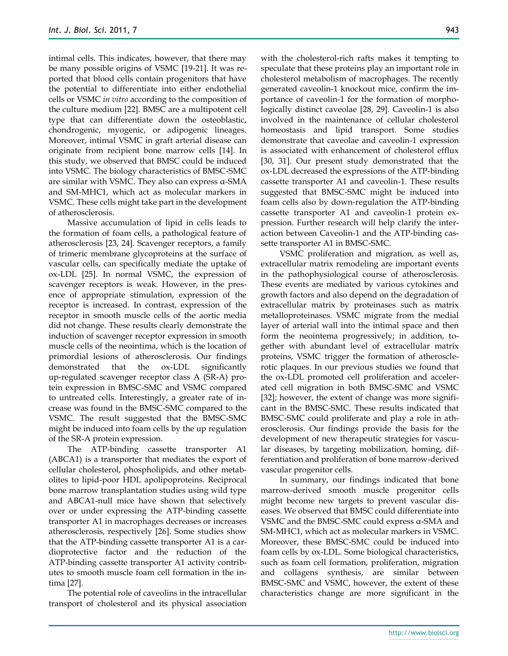intimal cells. This indicates, however, that there may be many possible origins of VSMC [19-21]. It was reported that blood cells contain progenitors that have the potential to differentiate into either endothelial cells or VSMC *in vitro* according to the composition of the culture medium [22]. BMSC are a multipotent cell type that can differentiate down the osteoblastic, chondrogenic, myogenic, or adipogenic lineages. Moreover, intimal VSMC in graft arterial disease can originate from recipient bone marrow cells [14]. In this study, we observed that BMSC could be induced into VSMC. The biology characteristics of BMSC-SMC are similar with VSMC. They also can express α-SMA and SM-MHC1, which act as molecular markers in VSMC. These cells might take part in the development of atherosclerosis.

Massive accumulation of lipid in cells leads to the formation of foam cells, a pathological feature of atherosclerosis [23, 24]. Scavenger receptors, a family of trimeric membrane glycoproteins at the surface of vascular cells, can specifically mediate the uptake of ox-LDL [25]. In normal VSMC, the expression of scavenger receptors is weak. However, in the presence of appropriate stimulation, expression of the receptor is increased. In contrast, expression of the receptor in smooth muscle cells of the aortic media did not change. These results clearly demonstrate the induction of scavenger receptor expression in smooth muscle cells of the neointima, which is the location of primordial lesions of atherosclerosis. Our findings demonstrated that the ox-LDL significantly up-regulated scavenger receptor class A (SR-A) protein expression in BMSC-SMC and VSMC compared to untreated cells. Interestingly, a greater rate of increase was found in the BMSC-SMC compared to the VSMC. The result suggested that the BMSC-SMC might be induced into foam cells by the up regulation of the SR-A protein expression.

The ATP-binding cassette transporter A1 (ABCA1) is a transporter that mediates the export of cellular cholesterol, phospholipids, and other metabolites to lipid-poor HDL apolipoproteins. Reciprocal bone marrow transplantation studies using wild type and ABCA1-null mice have shown that selectively over or under expressing the ATP-binding cassette transporter A1 in macrophages decreases or increases atherosclerosis, respectively [26]. Some studies show that the ATP-binding cassette transporter A1 is a cardioprotective factor and the reduction of the ATP-binding cassette transporter A1 activity contributes to smooth muscle foam cell formation in the intima [27].

The potential role of caveolins in the intracellular transport of cholesterol and its physical association with the cholesterol-rich rafts makes it tempting to speculate that these proteins play an important role in cholesterol metabolism of macrophages. The recently generated caveolin-1 knockout mice, confirm the importance of caveolin-1 for the formation of morphologically distinct caveolae [28, 29]. Caveolin-1 is also involved in the maintenance of cellular cholesterol homeostasis and lipid transport. Some studies demonstrate that caveolae and caveolin-1 expression is associated with enhancement of cholesterol efflux [30, 31]. Our present study demonstrated that the ox-LDL decreased the expressions of the ATP-binding cassette transporter A1 and caveolin-1. These results suggested that BMSC-SMC might be induced into foam cells also by down-regulation the ATP-binding cassette transporter A1 and caveolin-1 protein expression. Further research will help clarify the interaction between Caveolin-1 and the ATP-binding cassette transporter A1 in BMSC-SMC.

VSMC proliferation and migration, as well as, extracellular matrix remodeling are important events in the pathophysiological course of atherosclerosis. These events are mediated by various cytokines and growth factors and also depend on the degradation of extracellular matrix by proteinases such as matrix metalloproteinases. VSMC migrate from the medial layer of arterial wall into the intimal space and then form the neointema progressively; in addition, together with abundant level of extracellular matrix proteins, VSMC trigger the formation of atherosclerotic plaques. In our previous studies we found that the ox-LDL promoted cell proliferation and accelerated cell migration in both BMSC-SMC and VSMC [32]; however, the extent of change was more significant in the BMSC-SMC. These results indicated that BMSC-SMC could proliferate and play a role in atherosclerosis. Our findings provide the basis for the development of new therapeutic strategies for vascular diseases, by targeting mobilization, homing, differentiation and proliferation of bone marrow-derived vascular progenitor cells.

In summary, our findings indicated that bone marrow-derived smooth muscle progenitor cells might become new targets to prevent vascular diseases. We observed that BMSC could differentiate into VSMC and the BMSC-SMC could express α-SMA and SM-MHC1, which act as molecular markers in VSMC. Moreover, these BMSC-SMC could be induced into foam cells by ox-LDL. Some biological characteristics, such as foam cell formation, proliferation, migration and collagens synthesis, are similar between BMSC-SMC and VSMC, however, the extent of these characteristics change are more significant in the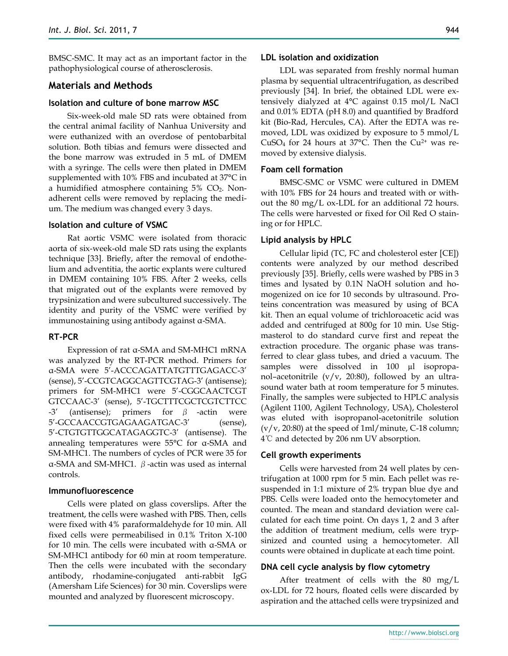BMSC-SMC. It may act as an important factor in the pathophysiological course of atherosclerosis.

## **Materials and Methods**

#### **Isolation and culture of bone marrow MSC**

Six-week-old male SD rats were obtained from the central animal facility of Nanhua University and were euthanized with an overdose of pentobarbital solution. Both tibias and femurs were dissected and the bone marrow was extruded in 5 mL of DMEM with a syringe. The cells were then plated in DMEM supplemented with 10% FBS and incubated at 37°C in a humidified atmosphere containing 5% CO2. Nonadherent cells were removed by replacing the medium. The medium was changed every 3 days.

#### **Isolation and culture of VSMC**

Rat aortic VSMC were isolated from thoracic aorta of six-week-old male SD rats using the explants technique [33]. Briefly, after the removal of endothelium and adventitia, the aortic explants were cultured in DMEM containing 10% FBS. After 2 weeks, cells that migrated out of the explants were removed by trypsinization and were subcultured successively. The identity and purity of the VSMC were verified by immunostaining using antibody against α-SMA.

## **RT-PCR**

Expression of rat α-SMA and SM-MHC1 mRNA was analyzed by the RT-PCR method. Primers for α-SMA were 5'-ACCCAGATTATGTTTGAGACC-3' (sense), 5'-CCGTCAGGCAGTTCGTAG-3' (antisense); primers for SM-MHC1 were 5'-CGGCAACTCGT GTCCAAC-3' (sense), 5'-TGCTTTCGCTCGTCTTCC  $-3'$  (antisense); primers for β -actin were 5'-GCCAACCGTGAGAAGATGAC-3' (sense), 5'-CTGTGTTGGCATAGAGGTC-3' (antisense). The annealing temperatures were 55°C for α-SMA and SM-MHC1. The numbers of cycles of PCR were 35 for α-SMA and SM-MHC1. β-actin was used as internal controls.

## **Immunofluorescence**

Cells were plated on glass coverslips. After the treatment, the cells were washed with PBS. Then, cells were fixed with 4% paraformaldehyde for 10 min. All fixed cells were permeabilised in 0.1% Triton X-100 for 10 min. The cells were incubated with α-SMA or SM-MHC1 antibody for 60 min at room temperature. Then the cells were incubated with the secondary antibody, rhodamine-conjugated anti-rabbit IgG (Amersham Life Sciences) for 30 min. Coverslips were mounted and analyzed by fluorescent microscopy.

#### **LDL isolation and oxidization**

LDL was separated from freshly normal human plasma by sequential ultracentrifugation, as described previously [34]. In brief, the obtained LDL were extensively dialyzed at 4°C against 0.15 mol/L NaCl and 0.01% EDTA (pH 8.0) and quantified by Bradford kit (Bio-Rad, Hercules, CA). After the EDTA was removed, LDL was oxidized by exposure to 5 mmol/L CuSO<sub>4</sub> for 24 hours at 37 $^{\circ}$ C. Then the Cu<sup>2+</sup> was removed by extensive dialysis.

## **Foam cell formation**

BMSC-SMC or VSMC were cultured in DMEM with 10% FBS for 24 hours and treated with or without the 80 mg/L ox-LDL for an additional 72 hours. The cells were harvested or fixed for Oil Red O staining or for HPLC.

## **Lipid analysis by HPLC**

Cellular lipid (TC, FC and cholesterol ester [CE]) contents were analyzed by our method described previously [35]. Briefly, cells were washed by PBS in 3 times and lysated by 0.1N NaOH solution and homogenized on ice for 10 seconds by ultrasound. Proteins concentration was measured by using of BCA kit. Then an equal volume of trichloroacetic acid was added and centrifuged at 800g for 10 min. Use Stigmasterol to do standard curve first and repeat the extraction procedure. The organic phase was transferred to clear glass tubes, and dried a vacuum. The samples were dissolved in 100 µl isopropanol–acetonitrile ( $v/v$ , 20:80), followed by an ultrasound water bath at room temperature for 5 minutes. Finally, the samples were subjected to HPLC analysis (Agilent 1100, Agilent Technology, USA), Cholesterol was eluted with isopropanol-acetonitrile solution  $(v/v, 20:80)$  at the speed of 1ml/minute, C-18 column; 4℃ and detected by 206 nm UV absorption.

## **Cell growth experiments**

Cells were harvested from 24 well plates by centrifugation at 1000 rpm for 5 min. Each pellet was resuspended in 1:1 mixture of 2% trypan blue dye and PBS. Cells were loaded onto the hemocytometer and counted. The mean and standard deviation were calculated for each time point. On days 1, 2 and 3 after the addition of treatment medium, cells were trypsinized and counted using a hemocytometer. All counts were obtained in duplicate at each time point.

## **DNA cell cycle analysis by flow cytometry**

After treatment of cells with the 80 mg/L ox-LDL for 72 hours, floated cells were discarded by aspiration and the attached cells were trypsinized and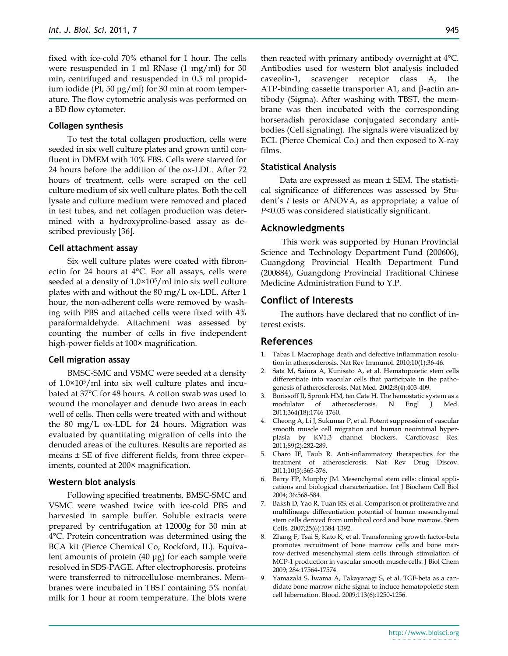fixed with ice-cold 70% ethanol for 1 hour. The cells were resuspended in 1 ml RNase (1 mg/ml) for 30 min, centrifuged and resuspended in 0.5 ml propidium iodide (PI, 50 μg/ml) for 30 min at room temperature. The flow cytometric analysis was performed on a BD flow cytometer.

#### **Collagen synthesis**

To test the total collagen production, cells were seeded in six well culture plates and grown until confluent in DMEM with 10% FBS. Cells were starved for 24 hours before the addition of the ox-LDL. After 72 hours of treatment, cells were scraped on the cell culture medium of six well culture plates. Both the cell lysate and culture medium were removed and placed in test tubes, and net collagen production was determined with a hydroxyproline-based assay as described previously [36].

#### **Cell attachment assay**

Six well culture plates were coated with fibronectin for 24 hours at 4°C. For all assays, cells were seeded at a density of 1.0×105/ml into six well culture plates with and without the 80 mg/L ox-LDL. After 1 hour, the non-adherent cells were removed by washing with PBS and attached cells were fixed with 4% paraformaldehyde. Attachment was assessed by counting the number of cells in five independent high-power fields at 100× magnification.

#### **Cell migration assay**

BMSC-SMC and VSMC were seeded at a density of 1.0×105/ml into six well culture plates and incubated at 37°C for 48 hours. A cotton swab was used to wound the monolayer and denude two areas in each well of cells. Then cells were treated with and without the 80 mg/L ox-LDL for 24 hours. Migration was evaluated by quantitating migration of cells into the denuded areas of the cultures. Results are reported as means ± SE of five different fields, from three experiments, counted at 200× magnification.

#### **Western blot analysis**

Following specified treatments, BMSC-SMC and VSMC were washed twice with ice-cold PBS and harvested in sample buffer. Soluble extracts were prepared by centrifugation at 12000g for 30 min at 4°C. Protein concentration was determined using the BCA kit (Pierce Chemical Co, Rockford, IL). Equivalent amounts of protein (40 μg) for each sample were resolved in SDS-PAGE. After electrophoresis, proteins were transferred to nitrocellulose membranes. Membranes were incubated in TBST containing 5% nonfat milk for 1 hour at room temperature. The blots were

then reacted with primary antibody overnight at 4°C. Antibodies used for western blot analysis included caveolin-1, scavenger receptor class A, the ATP-binding cassette transporter A1, and β-actin antibody (Sigma). After washing with TBST, the membrane was then incubated with the corresponding horseradish peroxidase conjugated secondary antibodies (Cell signaling). The signals were visualized by ECL (Pierce Chemical Co.) and then exposed to X-ray films.

## **Statistical Analysis**

Data are expressed as mean ± SEM. The statistical significance of differences was assessed by Student's *t* tests or ANOVA, as appropriate; a value of *P*<0.05 was considered statistically significant.

## **Acknowledgments**

This work was supported by Hunan Provincial Science and Technology Department Fund (200606), Guangdong Provincial Health Department Fund (200884), Guangdong Provincial Traditional Chinese Medicine Administration Fund to Y.P.

## **Conflict of Interests**

The authors have declared that no conflict of interest exists.

## **References**

- 1. Tabas I. Macrophage death and defective inflammation resolution in atherosclerosis. Nat Rev Immunol. 2010;10(1):36-46.
- 2. Sata M, Saiura A, Kunisato A, et al. Hematopoietic stem cells differentiate into vascular cells that participate in the pathogenesis of atherosclerosis. Nat Med. 2002;8(4):403-409.
- 3. Borissoff JI, Spronk HM, ten Cate H. The hemostatic system as a modulator of atherosclerosis. N Engl J Med. 2011;364(18):1746-1760.
- 4. Cheong A, Li J, Sukumar P, et al. Potent suppression of vascular smooth muscle cell migration and human neointimal hyperplasia by KV1.3 channel blockers. Cardiovasc Res. 2011;89(2):282-289.
- 5. Charo IF, Taub R. Anti-inflammatory therapeutics for the treatment of atherosclerosis. Nat Rev Drug Discov. 2011;10(5):365-376.
- 6. Barry FP, Murphy JM. Mesenchymal stem cells: clinical applications and biological characterization. Int J Biochem Cell Biol 2004; 36:568-584.
- 7. Baksh D, Yao R, Tuan RS, et al. Comparison of proliferative and multilineage differentiation potential of human mesenchymal stem cells derived from umbilical cord and bone marrow. Stem Cells. 2007;25(6):1384-1392.
- 8. Zhang F, Tsai S, Kato K, et al. Transforming growth factor-beta promotes recruitment of bone marrow cells and bone marrow-derived mesenchymal stem cells through stimulation of MCP-1 production in vascular smooth muscle cells. J Biol Chem 2009; 284:17564-17574.
- 9. Yamazaki S, Iwama A, Takayanagi S, et al. TGF-beta as a candidate bone marrow niche signal to induce hematopoietic stem cell hibernation. Blood. 2009;113(6):1250-1256.